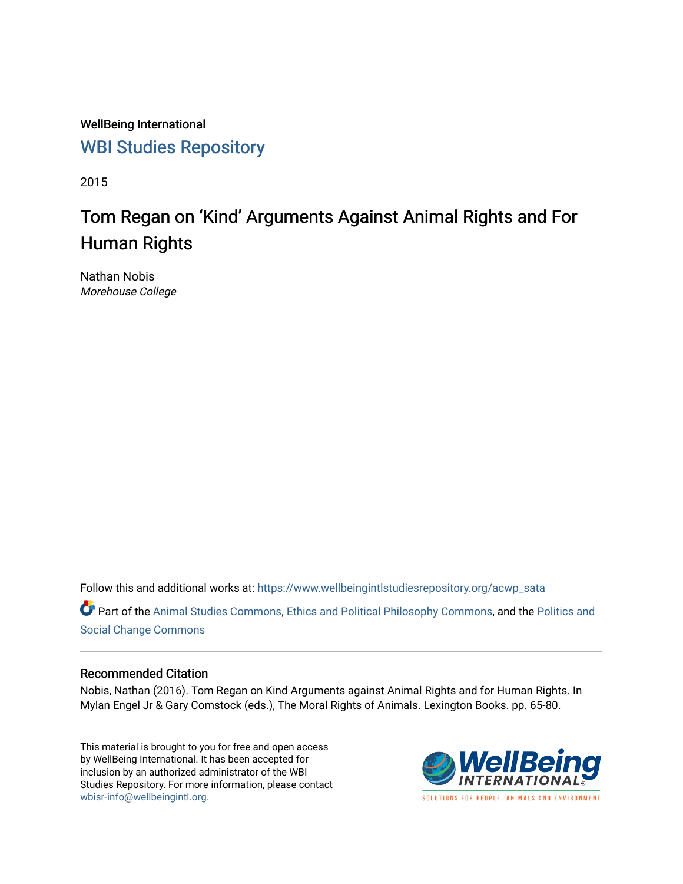WellBeing International [WBI Studies Repository](https://www.wellbeingintlstudiesrepository.org/)

2015

# Tom Regan on 'Kind' Arguments Against Animal Rights and For Human Rights

Nathan Nobis Morehouse College

Follow this and additional works at: [https://www.wellbeingintlstudiesrepository.org/acwp\\_sata](https://www.wellbeingintlstudiesrepository.org/acwp_sata?utm_source=www.wellbeingintlstudiesrepository.org%2Facwp_sata%2F17&utm_medium=PDF&utm_campaign=PDFCoverPages)

Part of the [Animal Studies Commons,](http://network.bepress.com/hgg/discipline/1306?utm_source=www.wellbeingintlstudiesrepository.org%2Facwp_sata%2F17&utm_medium=PDF&utm_campaign=PDFCoverPages) [Ethics and Political Philosophy Commons,](http://network.bepress.com/hgg/discipline/529?utm_source=www.wellbeingintlstudiesrepository.org%2Facwp_sata%2F17&utm_medium=PDF&utm_campaign=PDFCoverPages) and the [Politics and](http://network.bepress.com/hgg/discipline/425?utm_source=www.wellbeingintlstudiesrepository.org%2Facwp_sata%2F17&utm_medium=PDF&utm_campaign=PDFCoverPages)  [Social Change Commons](http://network.bepress.com/hgg/discipline/425?utm_source=www.wellbeingintlstudiesrepository.org%2Facwp_sata%2F17&utm_medium=PDF&utm_campaign=PDFCoverPages) 

### Recommended Citation

Nobis, Nathan (2016). Tom Regan on Kind Arguments against Animal Rights and for Human Rights. In Mylan Engel Jr & Gary Comstock (eds.), The Moral Rights of Animals. Lexington Books. pp. 65-80.

This material is brought to you for free and open access by WellBeing International. It has been accepted for inclusion by an authorized administrator of the WBI Studies Repository. For more information, please contact [wbisr-info@wellbeingintl.org](mailto:wbisr-info@wellbeingintl.org).



SOLUTIONS FOR PEOPLE. ANIMALS AND ENVIRONMENT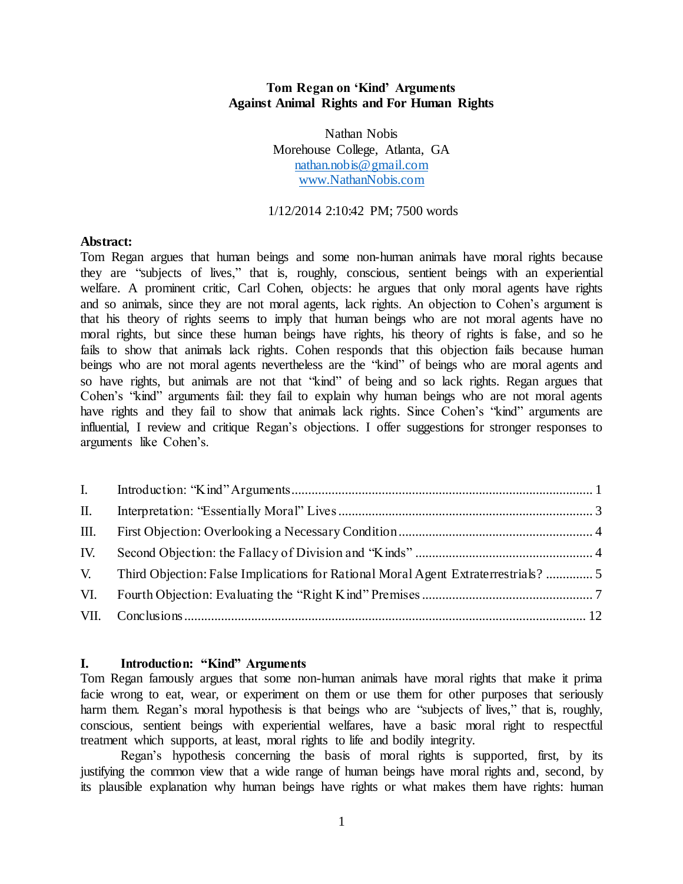## **Tom Regan on 'Kind' Arguments Against Animal Rights and For Human Rights**

Nathan Nobis Morehouse College, Atlanta, GA [nathan.nobis@gmail.com](mailto:nathan.nobis@gmail.com)  [www.NathanNobis.com](http://www.nathannobis.com/) 

#### 1/12/2014 2:10:42 PM; 7500 words

#### **Abstract:**

Tom Regan argues that human beings and some non-human animals have moral rights because they are "subjects of lives," that is, roughly, conscious, sentient beings with an experiential welfare. A prominent critic, Carl Cohen, objects: he argues that only moral agents have rights and so animals, since they are not moral agents, lack rights. An objection to Cohen's argument is that his theory of rights seems to imply that human beings who are not moral agents have no moral rights, but since these human beings have rights, his theory of rights is false, and so he fails to show that animals lack rights. Cohen responds that this objection fails because human beings who are not moral agents nevertheless are the "kind" of beings who are moral agents and so have rights, but animals are not that "kind" of being and so lack rights. Regan argues that Cohen's "kind" arguments fail: they fail to explain why human beings who are not moral agents have rights and they fail to show that animals lack rights. Since Cohen's "kind" arguments are influential, I review and critique Regan's objections. I offer suggestions for stronger responses to arguments like Cohen's.

| Ш. |  |
|----|--|
|    |  |
|    |  |
|    |  |
|    |  |

#### <span id="page-1-0"></span>**I. Introduction: "Kind" Arguments**

Tom Regan famously argues that some non-human animals have moral rights that make it prima facie wrong to eat, wear, or experiment on them or use them for other purposes that seriously harm them. Regan's moral hypothesis is that beings who are "subjects of lives," that is, roughly, conscious, sentient beings with experiential welfares, have a basic moral right to respectful treatment which supports, at least, moral rights to life and bodily integrity.

Regan's hypothesis concerning the basis of moral rights is supported, first, by its justifying the common view that a wide range of human beings have moral rights and, second, by its plausible explanation why human beings have rights or what makes them have rights: human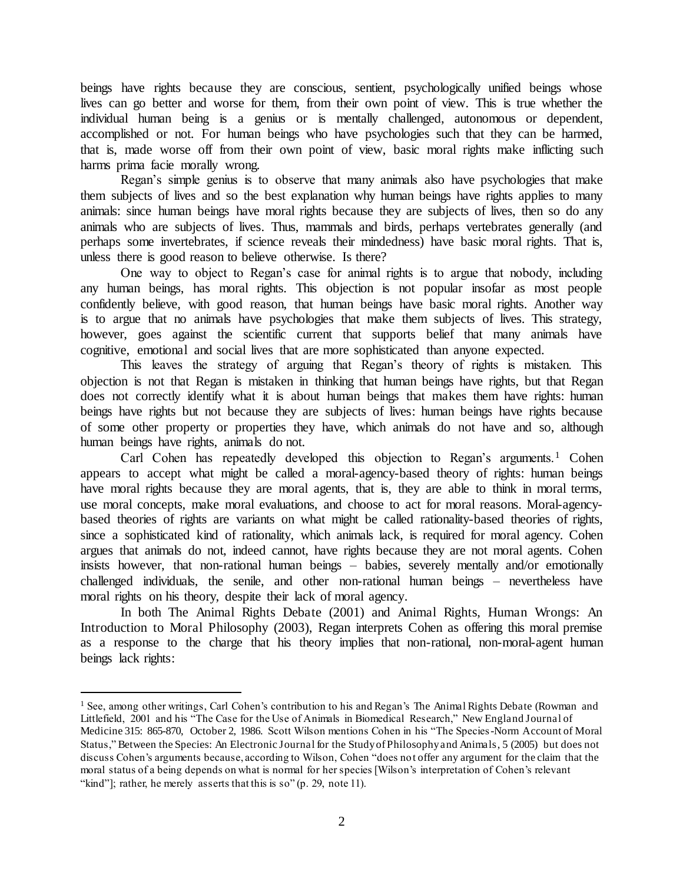beings have rights because they are conscious, sentient, psychologically unified beings whose lives can go better and worse for them, from their own point of view. This is true whether the individual human being is a genius or is mentally challenged, autonomous or dependent, accomplished or not. For human beings who have psychologies such that they can be harmed, that is, made worse off from their own point of view, basic moral rights make inflicting such harms prima facie morally wrong.

Regan's simple genius is to observe that many animals also have psychologies that make them subjects of lives and so the best explanation why human beings have rights applies to many animals: since human beings have moral rights because they are subjects of lives, then so do any animals who are subjects of lives. Thus, mammals and birds, perhaps vertebrates generally (and perhaps some invertebrates, if science reveals their mindedness) have basic moral rights. That is, unless there is good reason to believe otherwise. Is there?

One way to object to Regan's case for animal rights is to argue that nobody, including any human beings, has moral rights. This objection is not popular insofar as most people confidently believe, with good reason, that human beings have basic moral rights. Another way is to argue that no animals have psychologies that make them subjects of lives. This strategy, however, goes against the scientific current that supports belief that many animals have cognitive, emotional and social lives that are more sophisticated than anyone expected.

This leaves the strategy of arguing that Regan's theory of rights is mistaken. This objection is not that Regan is mistaken in thinking that human beings have rights, but that Regan does not correctly identify what it is about human beings that makes them have rights: human beings have rights but not because they are subjects of lives: human beings have rights because of some other property or properties they have, which animals do not have and so, although human beings have rights, animals do not.

Carl Cohen has repeatedly developed this objection to Regan's arguments.<sup>1</sup> Cohen appears to accept what might be called a moral-agency-based theory of rights: human beings have moral rights because they are moral agents, that is, they are able to think in moral terms, use moral concepts, make moral evaluations, and choose to act for moral reasons. Moral-agencybased theories of rights are variants on what might be called rationality-based theories of rights, since a sophisticated kind of rationality, which animals lack, is required for moral agency. Cohen argues that animals do not, indeed cannot, have rights because they are not moral agents. Cohen insists however, that non-rational human beings – babies, severely mentally and/or emotionally challenged individuals, the senile, and other non-rational human beings – nevertheless have moral rights on his theory, despite their lack of moral agency.

In both The Animal Rights Debate (2001) and Animal Rights, Human Wrongs: An Introduction to Moral Philosophy (2003), Regan interprets Cohen as offering this moral premise as a response to the charge that his theory implies that non-rational, non-moral-agent human beings lack rights:

<sup>&</sup>lt;sup>1</sup> See, among other writings, Carl Cohen's contribution to his and Regan's The Animal Rights Debate (Rowman and Littlefield, 2001 and his "The Case for the Use of Animals in Biomedical Research," New England Journal of Medicine 315: 865-870, October 2, 1986. Scott Wilson mentions Cohen in his "The Species-Norm Account of Moral Status," Between the Species: An Electronic Journal for the Study of Philosophy and Animals, 5 (2005) but does not discuss Cohen's arguments because, according to Wilson, Cohen "does not offer any argument for the claim that the moral status of a being depends on what is normal for her species [Wilson's interpretation of Cohen's relevant "kind"]; rather, he merely asserts that this is so" (p. 29, note 11).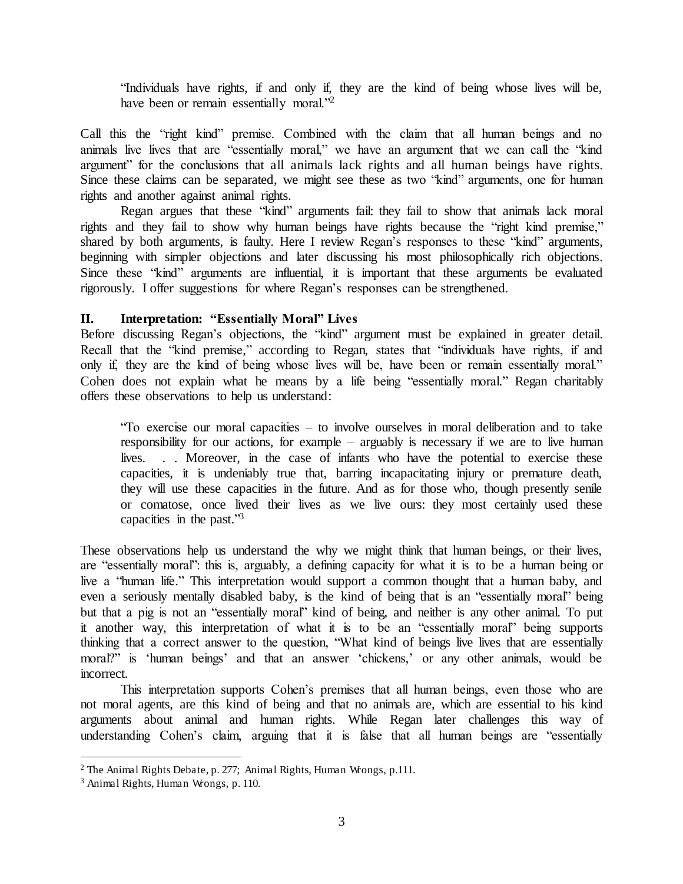"Individuals have rights, if and only if, they are the kind of being whose lives will be, have been or remain essentially moral."<sup>2</sup>

Call this the "right kind" premise. Combined with the claim that all human beings and no animals live lives that are "essentially moral," we have an argument that we can call the "kind argument" for the conclusions that all animals lack rights and all human beings have rights. Since these claims can be separated, we might see these as two "kind" arguments, one for human rights and another against animal rights.

 Regan argues that these "kind" arguments fail: they fail to show that animals lack moral rights and they fail to show why human beings have rights because the "right kind premise," shared by both arguments, is faulty. Here I review Regan's responses to these "kind" arguments, beginning with simpler objections and later discussing his most philosophically rich objections. Since these "kind" arguments are influential, it is important that these arguments be evaluated rigorously. I offer suggestions for where Regan's responses can be strengthened.

# <span id="page-3-0"></span>**II. Interpretation: "Essentially Moral" Lives**

Before discussing Regan's objections, the "kind" argument must be explained in greater detail. Recall that the "kind premise," according to Regan, states that "individuals have rights, if and only if, they are the kind of being whose lives will be, have been or remain essentially moral." Cohen does not explain what he means by a life being "essentially moral." Regan charitably offers these observations to help us understand:

"To exercise our moral capacities – to involve ourselves in moral deliberation and to take responsibility for our actions, for example – arguably is necessary if we are to live human lives. . . Moreover, in the case of infants who have the potential to exercise these capacities, it is undeniably true that, barring incapacitating injury or premature death, they will use these capacities in the future. And as for those who, though presently senile or comatose, once lived their lives as we live ours: they most certainly used these capacities in the past." 3

These observations help us understand the why we might think that human beings, or their lives, are "essentially moral": this is, arguably, a defining capacity for what it is to be a human being or live a "human life." This interpretation would support a common thought that a human baby, and even a seriously mentally disabled baby, is the kind of being that is an "essentially moral" being but that a pig is not an "essentially moral" kind of being, and neither is any other animal. To put it another way, this interpretation of what it is to be an "essentially moral" being supports thinking that a correct answer to the question, "What kind of beings live lives that are essentially moral?" is 'human beings' and that an answer 'chickens,' or any other animals, would be incorrect.

This interpretation supports Cohen's premises that all human beings, even those who are not moral agents, are this kind of being and that no animals are, which are essential to his kind arguments about animal and human rights. While Regan later challenges this way of understanding Cohen's claim, arguing that it is false that all human beings are "essentially

ı

<sup>&</sup>lt;sup>2</sup> The Animal Rights Debate, p. 277; Animal Rights, Human Wrongs, p.111.

<sup>3</sup> Animal Rights, Human Wrongs, p. 110.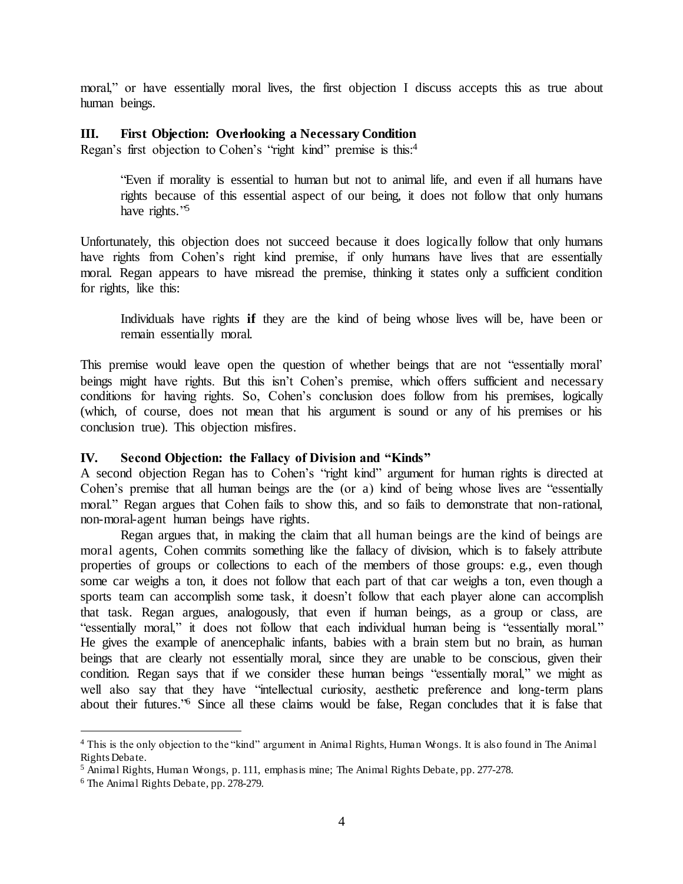moral," or have essentially moral lives, the first objection I discuss accepts this as true about human beings.

## <span id="page-4-0"></span>**III. First Objection: Overlooking a Necessary Condition**

Regan's first objection to Cohen's "right kind" premise is this:<sup>4</sup>

"Even if morality is essential to human but not to animal life, and even if all humans have rights because of this essential aspect of our being, it does not follow that only humans have rights."<sup>5</sup>

Unfortunately, this objection does not succeed because it does logically follow that only humans have rights from Cohen's right kind premise, if only humans have lives that are essentially moral. Regan appears to have misread the premise, thinking it states only a sufficient condition for rights, like this:

Individuals have rights **if** they are the kind of being whose lives will be, have been or remain essentially moral.

This premise would leave open the question of whether beings that are not "essentially moral' beings might have rights. But this isn't Cohen's premise, which offers sufficient and necessary conditions for having rights. So, Cohen's conclusion does follow from his premises, logically (which, of course, does not mean that his argument is sound or any of his premises or his conclusion true). This objection misfires.

# <span id="page-4-1"></span>**IV. Second Objection: the Fallacy of Division and "Kinds"**

A second objection Regan has to Cohen's "right kind" argument for human rights is directed at Cohen's premise that all human beings are the (or a) kind of being whose lives are "essentially moral." Regan argues that Cohen fails to show this, and so fails to demonstrate that non-rational, non-moral-agent human beings have rights.

Regan argues that, in making the claim that all human beings are the kind of beings are moral agents, Cohen commits something like the fallacy of division, which is to falsely attribute properties of groups or collections to each of the members of those groups: e.g., even though some car weighs a ton, it does not follow that each part of that car weighs a ton, even though a sports team can accomplish some task, it doesn't follow that each player alone can accomplish that task. Regan argues, analogously, that even if human beings, as a group or class, are "essentially moral," it does not follow that each individual human being is "essentially moral." He gives the example of anencephalic infants, babies with a brain stem but no brain, as human beings that are clearly not essentially moral, since they are unable to be conscious, given their condition. Regan says that if we consider these human beings "essentially moral," we might as well also say that they have "intellectual curiosity, aesthetic preference and long-term plans about their futures.<sup>76</sup> Since all these claims would be false, Regan concludes that it is false that

<sup>4</sup> This is the only objection to the "kind" argument in Animal Rights, Human Wrongs. It is also found in The Animal Rights Debate.

<sup>&</sup>lt;sup>5</sup> Animal Rights, Human Wrongs, p. 111, emphasis mine; The Animal Rights Debate, pp. 277-278.

<sup>6</sup> The Animal Rights Debate, pp. 278-279.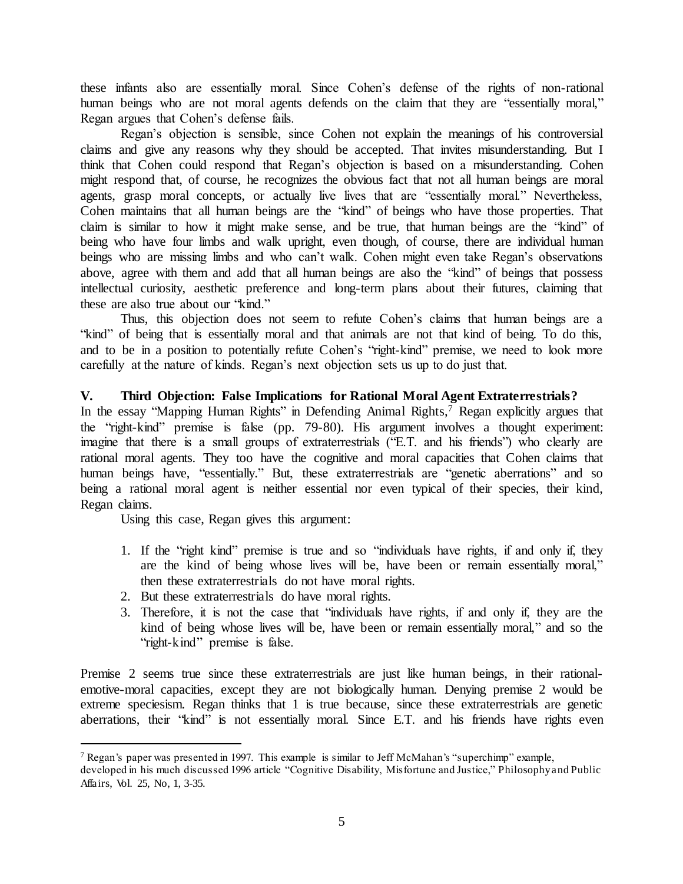these infants also are essentially moral. Since Cohen's defense of the rights of non-rational human beings who are not moral agents defends on the claim that they are "essentially moral," Regan argues that Cohen's defense fails.

Regan's objection is sensible, since Cohen not explain the meanings of his controversial claims and give any reasons why they should be accepted. That invites misunderstanding. But I think that Cohen could respond that Regan's objection is based on a misunderstanding. Cohen might respond that, of course, he recognizes the obvious fact that not all human beings are moral agents, grasp moral concepts, or actually live lives that are "essentially moral." Nevertheless, Cohen maintains that all human beings are the "kind" of beings who have those properties. That claim is similar to how it might make sense, and be true, that human beings are the "kind" of being who have four limbs and walk upright, even though, of course, there are individual human beings who are missing limbs and who can't walk. Cohen might even take Regan's observations above, agree with them and add that all human beings are also the "kind" of beings that possess intellectual curiosity, aesthetic preference and long-term plans about their futures, claiming that these are also true about our "kind."

Thus, this objection does not seem to refute Cohen's claims that human beings are a "kind" of being that is essentially moral and that animals are not that kind of being. To do this, and to be in a position to potentially refute Cohen's "right-kind" premise, we need to look more carefully at the nature of kinds. Regan's next objection sets us up to do just that.

# <span id="page-5-0"></span>**V. Third Objection: False Implications for Rational Moral Agent Extraterrestrials?**

In the essay "Mapping Human Rights" in Defending Animal Rights,<sup>7</sup> Regan explicitly argues that the "right-kind" premise is false (pp. 79-80). His argument involves a thought experiment: imagine that there is a small groups of extraterrestrials ("E.T. and his friends") who clearly are rational moral agents. They too have the cognitive and moral capacities that Cohen claims that human beings have, "essentially." But, these extraterrestrials are "genetic aberrations" and so being a rational moral agent is neither essential nor even typical of their species, their kind, Regan claims.

Using this case, Regan gives this argument:

l

- 1. If the "right kind" premise is true and so "individuals have rights, if and only if, they are the kind of being whose lives will be, have been or remain essentially moral," then these extraterrestrials do not have moral rights.
- 2. But these extraterrestrials do have moral rights.
- 3. Therefore, it is not the case that "individuals have rights, if and only if, they are the kind of being whose lives will be, have been or remain essentially moral," and so the "right-kind" premise is false.

Premise 2 seems true since these extraterrestrials are just like human beings, in their rationalemotive-moral capacities, except they are not biologically human. Denying premise 2 would be extreme speciesism. Regan thinks that 1 is true because, since these extraterrestrials are genetic aberrations, their "kind" is not essentially moral. Since E.T. and his friends have rights even

<sup>7</sup> Regan's paper was presented in 1997. This example is similar to Jeff McMahan's "superchimp" example,

developed in his much discussed 1996 article "Cognitive Disability, Misfortune and Justice," Philosophy and Public Affairs, Vol. 25, No, 1, 3-35.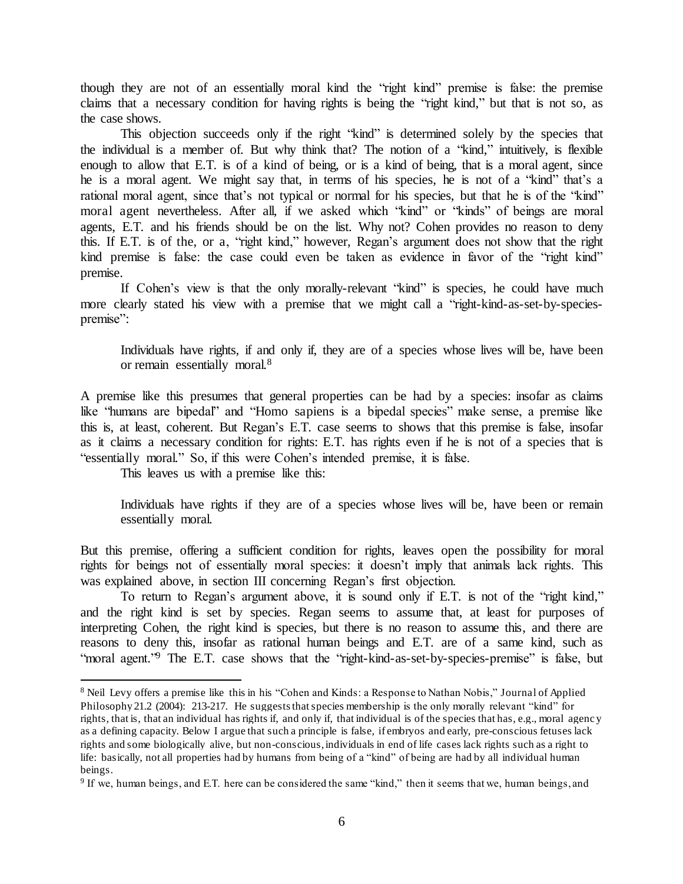though they are not of an essentially moral kind the "right kind" premise is false: the premise claims that a necessary condition for having rights is being the "right kind," but that is not so, as the case shows.

 This objection succeeds only if the right "kind" is determined solely by the species that the individual is a member of. But why think that? The notion of a "kind," intuitively, is flexible enough to allow that E.T. is of a kind of being, or is a kind of being, that is a moral agent, since he is a moral agent. We might say that, in terms of his species, he is not of a "kind" that's a rational moral agent, since that's not typical or normal for his species, but that he is of the "kind" moral agent nevertheless. After all, if we asked which "kind" or "kinds" of beings are moral agents, E.T. and his friends should be on the list. Why not? Cohen provides no reason to deny this. If E.T. is of the, or a, "right kind," however, Regan's argument does not show that the right kind premise is false: the case could even be taken as evidence in favor of the "right kind" premise.

If Cohen's view is that the only morally-relevant "kind" is species, he could have much more clearly stated his view with a premise that we might call a "right-kind-as-set-by-speciespremise":

Individuals have rights, if and only if, they are of a species whose lives will be, have been or remain essentially moral.<sup>8</sup>

A premise like this presumes that general properties can be had by a species: insofar as claims like "humans are bipedal" and "Homo sapiens is a bipedal species" make sense, a premise like this is, at least, coherent. But Regan's E.T. case seems to shows that this premise is false, insofar as it claims a necessary condition for rights: E.T. has rights even if he is not of a species that is "essentially moral." So, if this were Cohen's intended premise, it is false.

This leaves us with a premise like this:

l

Individuals have rights if they are of a species whose lives will be, have been or remain essentially moral.

But this premise, offering a sufficient condition for rights, leaves open the possibility for moral rights for beings not of essentially moral species: it doesn't imply that animals lack rights. This was explained above, in section III concerning Regan's first objection.

To return to Regan's argument above, it is sound only if E.T. is not of the "right kind," and the right kind is set by species. Regan seems to assume that, at least for purposes of interpreting Cohen, the right kind is species, but there is no reason to assume this, and there are reasons to deny this, insofar as rational human beings and E.T. are of a same kind, such as "moral agent."<sup>9</sup> The E.T. case shows that the "right-kind-as-set-by-species-premise" is false, but

<sup>&</sup>lt;sup>8</sup> Neil Levy offers a premise like this in his "Cohen and Kinds: a Response to Nathan Nobis," Journal of Applied Philosophy 21.2 (2004): 213-217. He suggests that species membership is the only morally relevant "kind" for rights, that is, that an individual has rights if, and only if, that individual is of the species that has, e.g., moral agency as a defining capacity. Below I argue that such a principle is false, if embryos and early, pre-conscious fetuses lack rights and some biologically alive, but non-conscious, individuals in end of life cases lack rights such as a right to life: basically, not all properties had by humans from being of a "kind" of being are had by all individual human beings.

<sup>&</sup>lt;sup>9</sup> If we, human beings, and E.T. here can be considered the same "kind," then it seems that we, human beings, and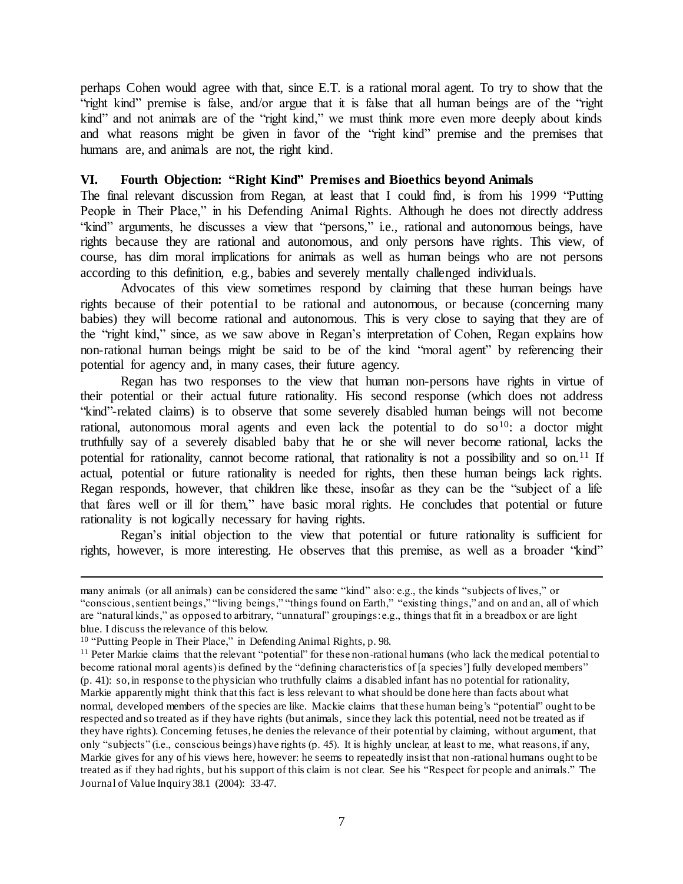perhaps Cohen would agree with that, since E.T. is a rational moral agent. To try to show that the "right kind" premise is false, and/or argue that it is false that all human beings are of the "right kind" and not animals are of the "right kind," we must think more even more deeply about kinds and what reasons might be given in favor of the "right kind" premise and the premises that humans are, and animals are not, the right kind.

## <span id="page-7-0"></span>**VI. Fourth Objection: "Right Kind" Premises and Bioethics beyond Animals**

The final relevant discussion from Regan, at least that I could find, is from his 1999 "Putting People in Their Place," in his Defending Animal Rights. Although he does not directly address "kind" arguments, he discusses a view that "persons," i.e., rational and autonomous beings, have rights because they are rational and autonomous, and only persons have rights. This view, of course, has dim moral implications for animals as well as human beings who are not persons according to this definition, e.g., babies and severely mentally challenged individuals.

Advocates of this view sometimes respond by claiming that these human beings have rights because of their potential to be rational and autonomous, or because (concerning many babies) they will become rational and autonomous. This is very close to saying that they are of the "right kind," since, as we saw above in Regan's interpretation of Cohen, Regan explains how non-rational human beings might be said to be of the kind "moral agent" by referencing their potential for agency and, in many cases, their future agency.

Regan has two responses to the view that human non-persons have rights in virtue of their potential or their actual future rationality. His second response (which does not address "kind"-related claims) is to observe that some severely disabled human beings will not become rational, autonomous moral agents and even lack the potential to do so  $10$ : a doctor might truthfully say of a severely disabled baby that he or she will never become rational, lacks the potential for rationality, cannot become rational, that rationality is not a possibility and so on.<sup>11</sup> If actual, potential or future rationality is needed for rights, then these human beings lack rights. Regan responds, however, that children like these, insofar as they can be the "subject of a life that fares well or ill for them," have basic moral rights. He concludes that potential or future rationality is not logically necessary for having rights.

Regan's initial objection to the view that potential or future rationality is sufficient for rights, however, is more interesting. He observes that this premise, as well as a broader "kind"

many animals (or all animals) can be considered the same "kind" also: e.g., the kinds "subjects of lives," or "conscious, sentient beings," "living beings," "things found on Earth," "existing things," and on and an, all of which are "natural kinds," as opposed to arbitrary, "unnatural" groupings: e.g., things that fit in a breadbox or are light blue. I discuss the relevance of this below.

<sup>10</sup> "Putting People in Their Place," in Defending Animal Rights, p. 98.

<sup>&</sup>lt;sup>11</sup> Peter Markie claims that the relevant "potential" for these non-rational humans (who lack the medical potential to become rational moral agents) is defined by the "defining characteristics of [a species'] fully developed members" (p. 41): so, in response to the physician who truthfully claims a disabled infant has no potential for rationality, Markie apparently might think that this fact is less relevant to what should be done here than facts about what normal, developed members of the species are like. Mackie claims that these human being's "potential" ought to be respected and so treated as if they have rights (but animals, since they lack this potential, need not be treated as if they have rights). Concerning fetuses, he denies the relevance of their potential by claiming, without argument, that only "subjects" (i.e., conscious beings) have rights (p. 45). It is highly unclear, at least to me, what reasons, if any, Markie gives for any of his views here, however: he seems to repeatedly insist that non -rational humans ought to be treated as if they had rights, but his support of this claim is not clear. See his "Respect for people and animals." The Journal of Value Inquiry 38.1 (2004): 33-47.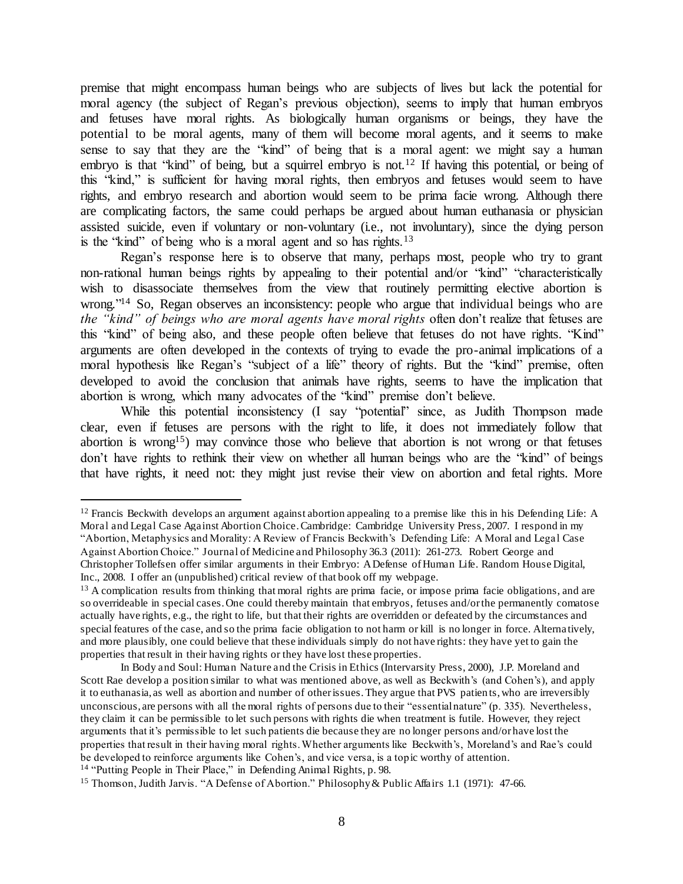premise that might encompass human beings who are subjects of lives but lack the potential for moral agency (the subject of Regan's previous objection), seems to imply that human embryos and fetuses have moral rights. As biologically human organisms or beings, they have the potential to be moral agents, many of them will become moral agents, and it seems to make sense to say that they are the "kind" of being that is a moral agent: we might say a human embryo is that "kind" of being, but a squirrel embryo is not.<sup>12</sup> If having this potential, or being of this "kind," is sufficient for having moral rights, then embryos and fetuses would seem to have rights, and embryo research and abortion would seem to be prima facie wrong. Although there are complicating factors, the same could perhaps be argued about human euthanasia or physician assisted suicide, even if voluntary or non-voluntary (i.e., not involuntary), since the dying person is the "kind" of being who is a moral agent and so has rights.<sup>13</sup>

Regan's response here is to observe that many, perhaps most, people who try to grant non-rational human beings rights by appealing to their potential and/or "kind" "characteristically wish to disassociate themselves from the view that routinely permitting elective abortion is wrong."<sup>14</sup> So, Regan observes an inconsistency: people who argue that individual beings who are *the "kind" of beings who are moral agents have moral rights* often don't realize that fetuses are this "kind" of being also, and these people often believe that fetuses do not have rights. "Kind" arguments are often developed in the contexts of trying to evade the pro-animal implications of a moral hypothesis like Regan's "subject of a life" theory of rights. But the "kind" premise, often developed to avoid the conclusion that animals have rights, seems to have the implication that abortion is wrong, which many advocates of the "kind" premise don't believe.

While this potential inconsistency (I say "potential" since, as Judith Thompson made clear, even if fetuses are persons with the right to life, it does not immediately follow that abortion is wrong<sup>15</sup>) may convince those who believe that abortion is not wrong or that fetuses don't have rights to rethink their view on whether all human beings who are the "kind" of beings that have rights, it need not: they might just revise their view on abortion and fetal rights. More

 $12$  Francis Beckwith develops an argument against abortion appealing to a premise like this in his Defending Life: A Moral and Legal Case Against Abortion Choice. Cambridge: Cambridge University Press, 2007. I respond in my "Abortion, Metaphysics and Morality: A Review of Francis Beckwith's Defending Life: A Moral and Lega l Case Against Abortion Choice." Journal of Medicine and Philosophy 36.3 (2011): 261-273. Robert George and Christopher Tollefsen offer similar arguments in their Embryo: A Defense of Human Life. Random House Digital, Inc., 2008. I offer an (unpublished) critical review of that book off my webpage.

<sup>&</sup>lt;sup>13</sup> A complication results from thinking that moral rights are prima facie, or impose prima facie obligations, and are so overrideable in special cases. One could thereby maintain that embryos, fetuses and/or the permanently comatose actually have rights, e.g., the right to life, but that their rights are overridden or defeated by the circumstances and special features of the case, and so the prima facie obligation to not harm or kill is no longer in force. Alterna tively, and more plausibly, one could believe that these individuals simply do not have rights: they have yet to gain the properties that result in their having rights or they have lost these properties.

In Body and Soul: Human Nature and the Crisis in Ethics (Intervarsity Press, 2000), J.P. Moreland and Scott Rae develop a position similar to what was mentioned above, as well as Beckwith's (and Cohen's), and apply it to euthanasia, as well as abortion and number of other issues. They argue that PVS patien ts, who are irreversibly unconscious, are persons with all the moral rights of persons due to their "essential nature" (p. 335). Nevertheless, they claim it can be permissible to let such persons with rights die when treatment is futile. However, they reject arguments that it's permissible to let such patients die because they are no longer persons and/or have lost the properties that result in their having moral rights. Whether arguments like Beckwith's, Moreland's and Rae's could be developed to reinforce arguments like Cohen's, and vice versa, is a topic worthy of attention. <sup>14</sup> "Putting People in Their Place," in Defending Animal Rights, p. 98.

<sup>15</sup> Thomson, Judith Jarvis. "A Defense of Abortion." Philosophy & Public Affairs 1.1 (1971): 47-66.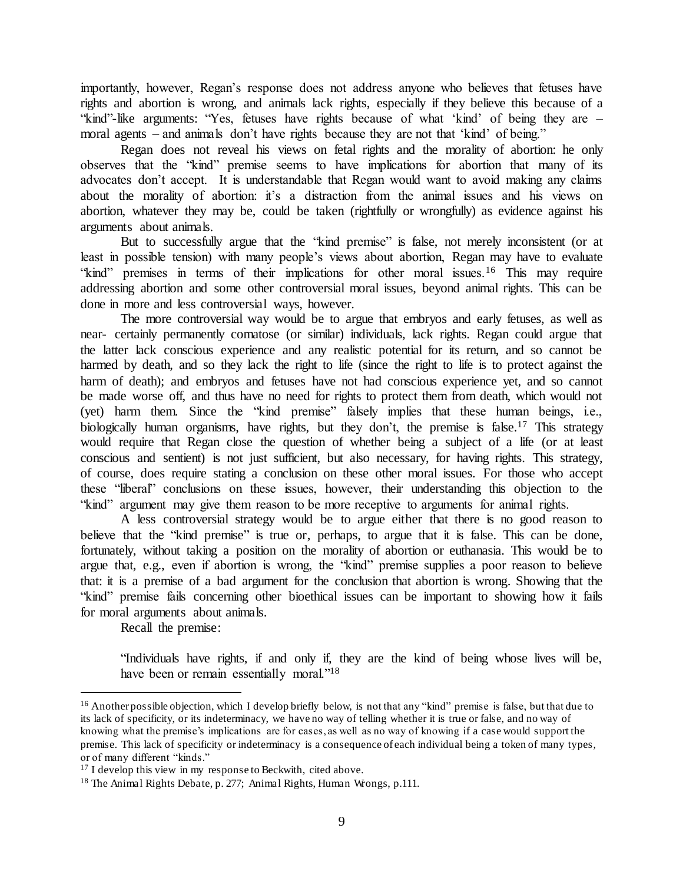importantly, however, Regan's response does not address anyone who believes that fetuses have rights and abortion is wrong, and animals lack rights, especially if they believe this because of a "kind"-like arguments: "Yes, fetuses have rights because of what 'kind' of being they are – moral agents – and animals don't have rights because they are not that 'kind' of being."

 Regan does not reveal his views on fetal rights and the morality of abortion: he only observes that the "kind" premise seems to have implications for abortion that many of its advocates don't accept. It is understandable that Regan would want to avoid making any claims about the morality of abortion: it's a distraction from the animal issues and his views on abortion, whatever they may be, could be taken (rightfully or wrongfully) as evidence against his arguments about animals.

But to successfully argue that the "kind premise" is false, not merely inconsistent (or at least in possible tension) with many people's views about abortion, Regan may have to evaluate "kind" premises in terms of their implications for other moral issues.<sup>16</sup> This may require addressing abortion and some other controversial moral issues, beyond animal rights. This can be done in more and less controversial ways, however.

The more controversial way would be to argue that embryos and early fetuses, as well as near- certainly permanently comatose (or similar) individuals, lack rights. Regan could argue that the latter lack conscious experience and any realistic potential for its return, and so cannot be harmed by death, and so they lack the right to life (since the right to life is to protect against the harm of death); and embryos and fetuses have not had conscious experience yet, and so cannot be made worse off, and thus have no need for rights to protect them from death, which would not (yet) harm them. Since the "kind premise" falsely implies that these human beings, i.e., biologically human organisms, have rights, but they don't, the premise is false.<sup>17</sup> This strategy would require that Regan close the question of whether being a subject of a life (or at least conscious and sentient) is not just sufficient, but also necessary, for having rights. This strategy, of course, does require stating a conclusion on these other moral issues. For those who accept these "liberal" conclusions on these issues, however, their understanding this objection to the "kind" argument may give them reason to be more receptive to arguments for animal rights.

A less controversial strategy would be to argue either that there is no good reason to believe that the "kind premise" is true or, perhaps, to argue that it is false. This can be done, fortunately, without taking a position on the morality of abortion or euthanasia. This would be to argue that, e.g., even if abortion is wrong, the "kind" premise supplies a poor reason to believe that: it is a premise of a bad argument for the conclusion that abortion is wrong. Showing that the "kind" premise fails concerning other bioethical issues can be important to showing how it fails for moral arguments about animals.

Recall the premise:

l

"Individuals have rights, if and only if, they are the kind of being whose lives will be, have been or remain essentially moral."<sup>18</sup>

<sup>&</sup>lt;sup>16</sup> Another possible objection, which I develop briefly below, is not that any "kind" premise is false, but that due to its lack of specificity, or its indeterminacy, we have no way of telling whether it is true or false, and no way of knowing what the premise's implications are for cases, as well as no way of knowing if a case would support the premise. This lack of specificity or indeterminacy is a consequence of each individual being a token of many types, or of many different "kinds."

<sup>&</sup>lt;sup>17</sup> I develop this view in my response to Beckwith, cited above.

<sup>18</sup> The Animal Rights Debate, p. 277; Animal Rights, Human Wrongs, p.111.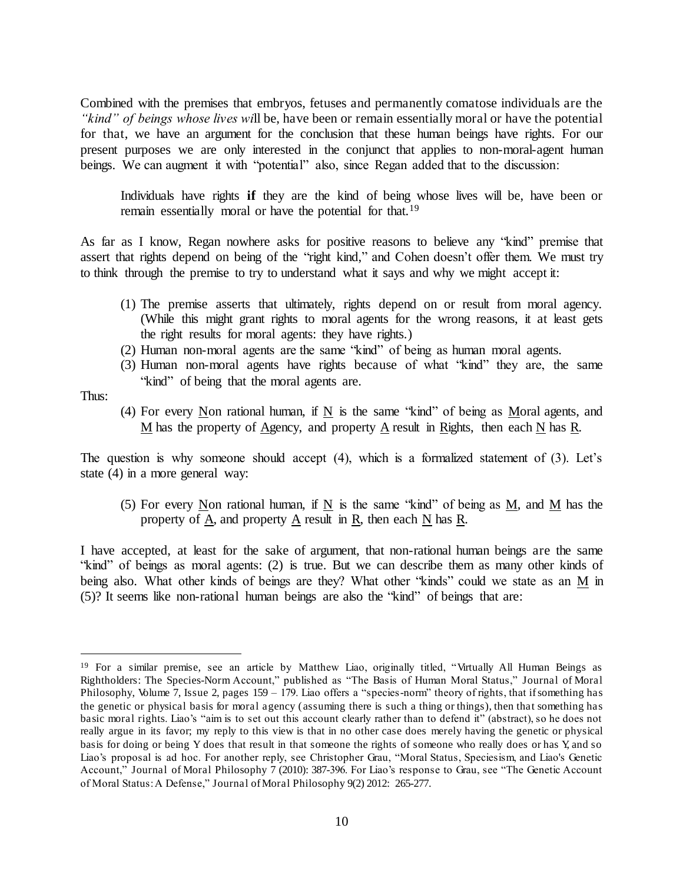Combined with the premises that embryos, fetuses and permanently comatose individuals are the *"kind" of beings whose lives wi*ll be, have been or remain essentially moral or have the potential for that, we have an argument for the conclusion that these human beings have rights. For our present purposes we are only interested in the conjunct that applies to non-moral-agent human beings. We can augment it with "potential" also, since Regan added that to the discussion:

Individuals have rights **if** they are the kind of being whose lives will be, have been or remain essentially moral or have the potential for that.<sup>19</sup>

As far as I know, Regan nowhere asks for positive reasons to believe any "kind" premise that assert that rights depend on being of the "right kind," and Cohen doesn't offer them. We must try to think through the premise to try to understand what it says and why we might accept it:

- (1) The premise asserts that ultimately, rights depend on or result from moral agency. (While this might grant rights to moral agents for the wrong reasons, it at least gets the right results for moral agents: they have rights.)
- (2) Human non-moral agents are the same "kind" of being as human moral agents.
- (3) Human non-moral agents have rights because of what "kind" they are, the same "kind" of being that the moral agents are.

Thus:

l

(4) For every Non rational human, if N is the same "kind" of being as Moral agents, and M has the property of Agency, and property A result in Rights, then each N has R.

The question is why someone should accept (4), which is a formalized statement of (3). Let's state (4) in a more general way:

(5) For every Non rational human, if N is the same "kind" of being as M, and M has the property of  $\underline{A}$ , and property  $\underline{A}$  result in  $\underline{R}$ , then each  $\underline{N}$  has  $\underline{R}$ .

I have accepted, at least for the sake of argument, that non-rational human beings are the same "kind" of beings as moral agents: (2) is true. But we can describe them as many other kinds of being also. What other kinds of beings are they? What other "kinds" could we state as an M in (5)? It seems like non-rational human beings are also the "kind" of beings that are:

<sup>19</sup> For a similar premise, see an article by Matthew Liao, originally titled, "Virtually All Human Beings as Rightholders: The Species-Norm Account," published as "The Basis of Human Moral Status," Journal of Moral Philosophy, Volume 7, Issue 2, pages 159 – 179. Liao offers a "species-norm" theory of rights, that if something has the genetic or physical basis for moral agency (assuming there is such a thing or things), then that something has basic moral rights. Liao's "aim is to set out this account clearly rather than to defend it" (abstract), so he does not really argue in its favor; my reply to this view is that in no other case does merely having the genetic or physical basis for doing or being Y does that result in that someone the rights of someone who really does or has Y, and so Liao's proposal is ad hoc. For another reply, see Christopher Grau, "Moral Status, Speciesism, and Liao's Genetic Account," Journal of Moral Philosophy 7 (2010): 387-396. For Liao's response to Grau, see "The Genetic Account of Moral Status: A Defense," Journal of Moral Philosophy 9(2) 2012: 265-277.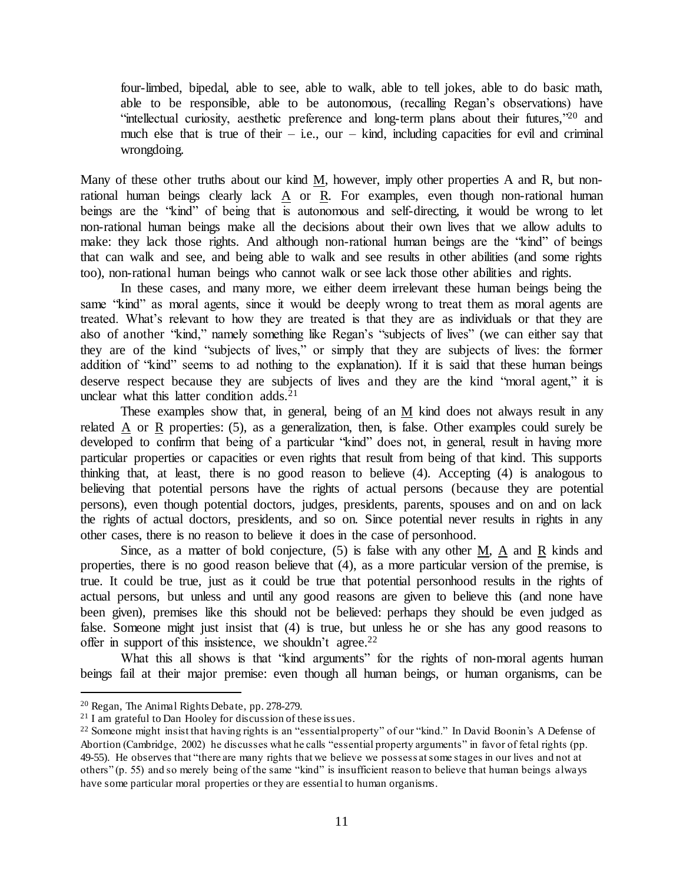four-limbed, bipedal, able to see, able to walk, able to tell jokes, able to do basic math, able to be responsible, able to be autonomous, (recalling Regan's observations) have "intellectual curiosity, aesthetic preference and long-term plans about their futures,"<sup>20</sup> and much else that is true of their – i.e., our – kind, including capacities for evil and criminal wrongdoing.

Many of these other truths about our kind M, however, imply other properties A and R, but nonrational human beings clearly lack A or R. For examples, even though non-rational human beings are the "kind" of being that is autonomous and self-directing, it would be wrong to let non-rational human beings make all the decisions about their own lives that we allow adults to make: they lack those rights. And although non-rational human beings are the "kind" of beings that can walk and see, and being able to walk and see results in other abilities (and some rights too), non-rational human beings who cannot walk or see lack those other abilities and rights.

 In these cases, and many more, we either deem irrelevant these human beings being the same "kind" as moral agents, since it would be deeply wrong to treat them as moral agents are treated. What's relevant to how they are treated is that they are as individuals or that they are also of another "kind," namely something like Regan's "subjects of lives" (we can either say that they are of the kind "subjects of lives," or simply that they are subjects of lives: the former addition of "kind" seems to ad nothing to the explanation). If it is said that these human beings deserve respect because they are subjects of lives and they are the kind "moral agent," it is unclear what this latter condition adds. $21$ 

These examples show that, in general, being of an M kind does not always result in any related A or R properties: (5), as a generalization, then, is false. Other examples could surely be developed to confirm that being of a particular "kind" does not, in general, result in having more particular properties or capacities or even rights that result from being of that kind. This supports thinking that, at least, there is no good reason to believe (4). Accepting (4) is analogous to believing that potential persons have the rights of actual persons (because they are potential persons), even though potential doctors, judges, presidents, parents, spouses and on and on lack the rights of actual doctors, presidents, and so on. Since potential never results in rights in any other cases, there is no reason to believe it does in the case of personhood.

Since, as a matter of bold conjecture, (5) is false with any other M, A and R kinds and properties, there is no good reason believe that (4), as a more particular version of the premise, is true. It could be true, just as it could be true that potential personhood results in the rights of actual persons, but unless and until any good reasons are given to believe this (and none have been given), premises like this should not be believed: perhaps they should be even judged as false. Someone might just insist that (4) is true, but unless he or she has any good reasons to offer in support of this insistence, we shouldn't agree.<sup>22</sup>

What this all shows is that "kind arguments" for the rights of non-moral agents human beings fail at their major premise: even though all human beings, or human organisms, can be

<sup>20</sup> Regan, The Animal Rights Debate, pp. 278-279.

<sup>&</sup>lt;sup>21</sup> I am grateful to Dan Hooley for discussion of these issues.

<sup>22</sup> Someone might insist that having rights is an "essential property" of our "kind." In David Boonin's A Defense of Abortion (Cambridge, 2002) he discusses what he calls "essential property arguments" in favor of fetal rights (pp. 49-55). He observes that "there are many rights that we believe we possess at some stages in our lives and not at others" (p. 55) and so merely being of the same "kind" is insufficient reason to believe that human beings always have some particular moral properties or they are essential to human organisms.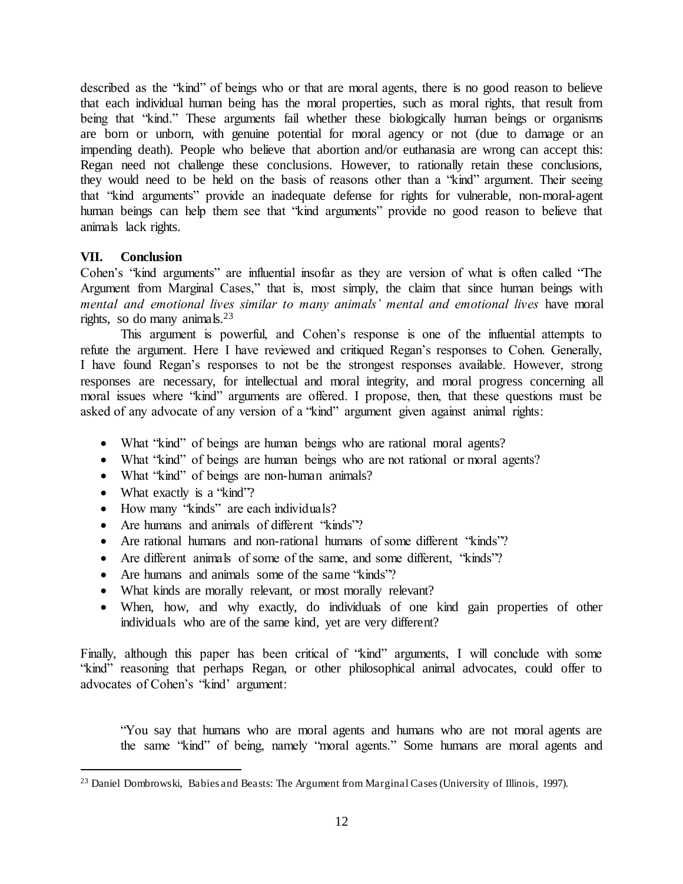described as the "kind" of beings who or that are moral agents, there is no good reason to believe that each individual human being has the moral properties, such as moral rights, that result from being that "kind." These arguments fail whether these biologically human beings or organisms are born or unborn, with genuine potential for moral agency or not (due to damage or an impending death). People who believe that abortion and/or euthanasia are wrong can accept this: Regan need not challenge these conclusions. However, to rationally retain these conclusions, they would need to be held on the basis of reasons other than a "kind" argument. Their seeing that "kind arguments" provide an inadequate defense for rights for vulnerable, non-moral-agent human beings can help them see that "kind arguments" provide no good reason to believe that animals lack rights.

# <span id="page-12-0"></span>**VII. Conclusion**

Cohen's "kind arguments" are influential insofar as they are version of what is often called "The Argument from Marginal Cases," that is, most simply, the claim that since human beings with *mental and emotional lives similar to many animals' mental and emotional lives* have moral rights, so do many animals. $23$ 

This argument is powerful, and Cohen's response is one of the influential attempts to refute the argument. Here I have reviewed and critiqued Regan's responses to Cohen. Generally, I have found Regan's responses to not be the strongest responses available. However, strong responses are necessary, for intellectual and moral integrity, and moral progress concerning all moral issues where "kind" arguments are offered. I propose, then, that these questions must be asked of any advocate of any version of a "kind" argument given against animal rights:

- What "kind" of beings are human beings who are rational moral agents?
- What "kind" of beings are human beings who are not rational or moral agents?
- What "kind" of beings are non-human animals?
- What exactly is a "kind"?

l

- How many "kinds" are each individuals?
- Are humans and animals of different "kinds"?
- Are rational humans and non-rational humans of some different "kinds"?
- Are different animals of some of the same, and some different, "kinds"?
- Are humans and animals some of the same "kinds"?
- What kinds are morally relevant, or most morally relevant?
- When, how, and why exactly, do individuals of one kind gain properties of other individuals who are of the same kind, yet are very different?

Finally, although this paper has been critical of "kind" arguments, I will conclude with some "kind" reasoning that perhaps Regan, or other philosophical animal advocates, could offer to advocates of Cohen's "kind' argument:

"You say that humans who are moral agents and humans who are not moral agents are the same "kind" of being, namely "moral agents." Some humans are moral agents and

<sup>&</sup>lt;sup>23</sup> Daniel Dombrowski, Babies and Beasts: The Argument from Marginal Cases (University of Illinois, 1997).